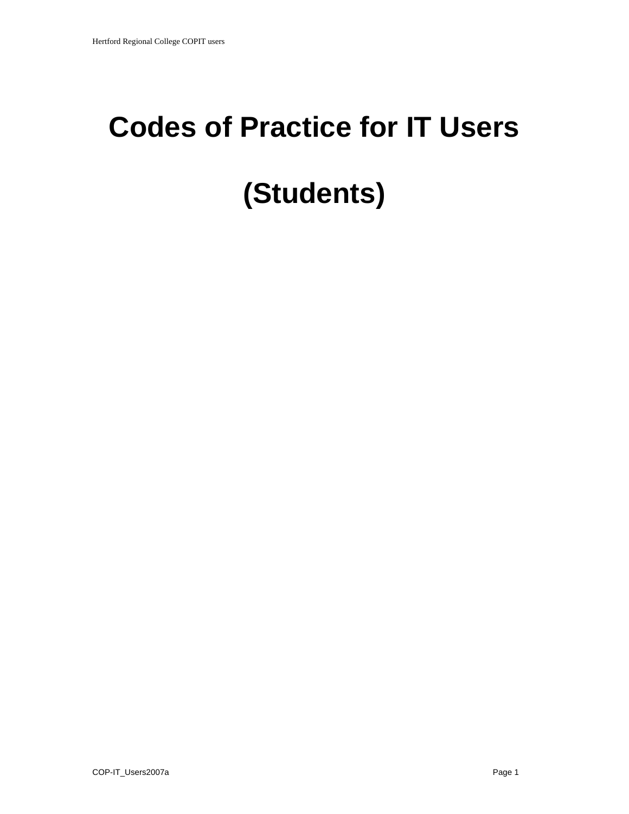## **Codes of Practice for IT Users (Students)**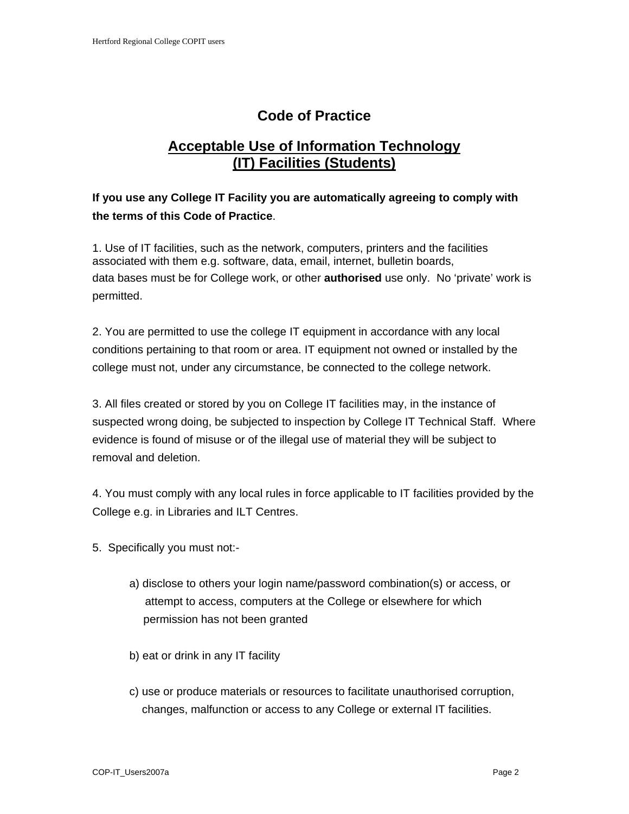## **Code of Practice**

## **Acceptable Use of Information Technology (IT) Facilities (Students)**

## **If you use any College IT Facility you are automatically agreeing to comply with the terms of this Code of Practice**.

1. Use of IT facilities, such as the network, computers, printers and the facilities associated with them e.g. software, data, email, internet, bulletin boards, data bases must be for College work, or other **authorised** use only. No 'private' work is permitted.

2. You are permitted to use the college IT equipment in accordance with any local conditions pertaining to that room or area. IT equipment not owned or installed by the college must not, under any circumstance, be connected to the college network.

3. All files created or stored by you on College IT facilities may, in the instance of suspected wrong doing, be subjected to inspection by College IT Technical Staff. Where evidence is found of misuse or of the illegal use of material they will be subject to removal and deletion.

4. You must comply with any local rules in force applicable to IT facilities provided by the College e.g. in Libraries and ILT Centres.

- 5. Specifically you must not:
	- a) disclose to others your login name/password combination(s) or access, or attempt to access, computers at the College or elsewhere for which permission has not been granted
	- b) eat or drink in any IT facility
	- c) use or produce materials or resources to facilitate unauthorised corruption, changes, malfunction or access to any College or external IT facilities.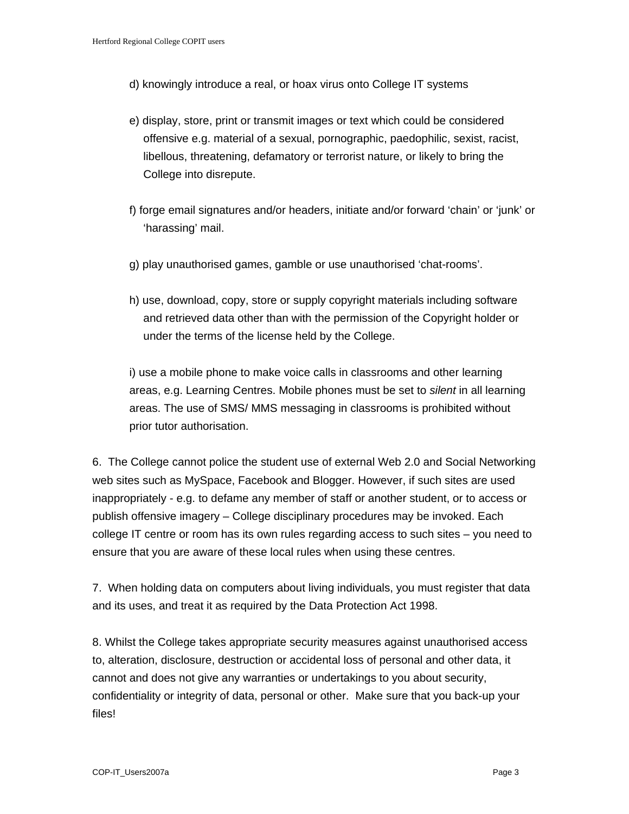- d) knowingly introduce a real, or hoax virus onto College IT systems
- e) display, store, print or transmit images or text which could be considered offensive e.g. material of a sexual, pornographic, paedophilic, sexist, racist, libellous, threatening, defamatory or terrorist nature, or likely to bring the College into disrepute.
- f) forge email signatures and/or headers, initiate and/or forward 'chain' or 'junk' or 'harassing' mail.
- g) play unauthorised games, gamble or use unauthorised 'chat-rooms'.
- h) use, download, copy, store or supply copyright materials including software and retrieved data other than with the permission of the Copyright holder or under the terms of the license held by the College.

i) use a mobile phone to make voice calls in classrooms and other learning areas, e.g. Learning Centres. Mobile phones must be set to *silent* in all learning areas. The use of SMS/ MMS messaging in classrooms is prohibited without prior tutor authorisation.

6. The College cannot police the student use of external Web 2.0 and Social Networking web sites such as MySpace, Facebook and Blogger. However, if such sites are used inappropriately - e.g. to defame any member of staff or another student, or to access or publish offensive imagery – College disciplinary procedures may be invoked. Each college IT centre or room has its own rules regarding access to such sites – you need to ensure that you are aware of these local rules when using these centres.

7. When holding data on computers about living individuals, you must register that data and its uses, and treat it as required by the Data Protection Act 1998.

8. Whilst the College takes appropriate security measures against unauthorised access to, alteration, disclosure, destruction or accidental loss of personal and other data, it cannot and does not give any warranties or undertakings to you about security, confidentiality or integrity of data, personal or other. Make sure that you back-up your files!